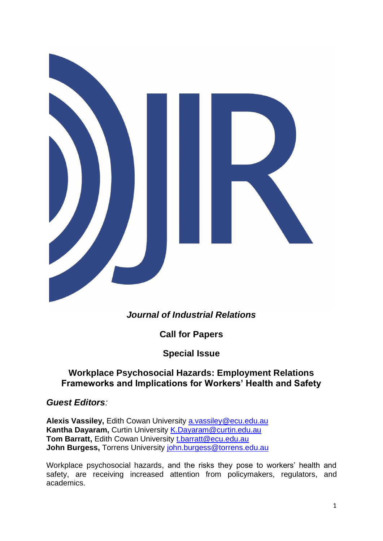

# *Journal of Industrial Relations*

**Call for Papers**

**Special Issue**

## **Workplace Psychosocial Hazards: Employment Relations Frameworks and Implications for Workers' Health and Safety**

### *Guest Editors:*

**Alexis Vassiley,** Edith Cowan University [a.vassiley@ecu.edu.au](mailto:a.vassiley@ecu.edu.au) **Kantha Dayaram,** Curtin University [K.Dayaram@curtin.edu.au](mailto:K.Dayaram@curtin.edu.au) **Tom Barratt,** Edith Cowan University [t.barratt@ecu.edu.au](mailto:t.barratt@ecu.edu.au) John Burgess, Torrens University [john.burgess@torrens.edu.au](mailto:john.burgess@torrens.edu.au)

Workplace psychosocial hazards, and the risks they pose to workers' health and safety, are receiving increased attention from policymakers, regulators, and academics.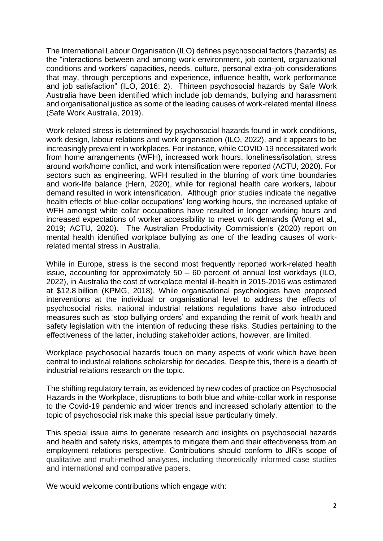The International Labour Organisation (ILO) defines psychosocial factors (hazards) as the "interactions between and among work environment, job content, organizational conditions and workers' capacities, needs, culture, personal extra-job considerations that may, through perceptions and experience, influence health, work performance and job satisfaction" (ILO, 2016: 2). Thirteen psychosocial hazards by Safe Work Australia have been identified which include job demands, bullying and harassment and organisational justice as some of the leading causes of work-related mental illness (Safe Work Australia, 2019).

Work-related stress is determined by psychosocial hazards found in work conditions, work design, labour relations and work organisation (ILO, 2022), and it appears to be increasingly prevalent in workplaces. For instance, while COVID-19 necessitated work from home arrangements (WFH), increased work hours, loneliness/isolation, stress around work/home conflict, and work intensification were reported (ACTU, 2020). For sectors such as engineering, WFH resulted in the blurring of work time boundaries and work-life balance (Hern, 2020), while for regional health care workers, labour demand resulted in work intensification. Although prior studies indicate the negative health effects of blue-collar occupations' long working hours, the increased uptake of WFH amongst white collar occupations have resulted in longer working hours and increased expectations of worker accessibility to meet work demands (Wong et al., 2019; ACTU, 2020). The Australian Productivity Commission's (2020) report on mental health identified workplace bullying as one of the leading causes of workrelated mental stress in Australia.

While in Europe, stress is the second most frequently reported work-related health issue, accounting for approximately 50 – 60 percent of annual lost workdays (ILO, 2022), in Australia the cost of workplace mental ill-health in 2015-2016 was estimated at \$12.8 billion (KPMG, 2018). While organisational psychologists have proposed interventions at the individual or organisational level to address the effects of psychosocial risks, national industrial relations regulations have also introduced measures such as 'stop bullying orders' and expanding the remit of work health and safety legislation with the intention of reducing these risks. Studies pertaining to the effectiveness of the latter, including stakeholder actions, however, are limited.

Workplace psychosocial hazards touch on many aspects of work which have been central to industrial relations scholarship for decades. Despite this, there is a dearth of industrial relations research on the topic.

The shifting regulatory terrain, as evidenced by new codes of practice on Psychosocial Hazards in the Workplace, disruptions to both blue and white-collar work in response to the Covid-19 pandemic and wider trends and increased scholarly attention to the topic of psychosocial risk make this special issue particularly timely.

This special issue aims to generate research and insights on psychosocial hazards and health and safety risks, attempts to mitigate them and their effectiveness from an employment relations perspective. Contributions should conform to JIR's scope of qualitative and multi-method analyses, including theoretically informed case studies and international and comparative papers.

We would welcome contributions which engage with: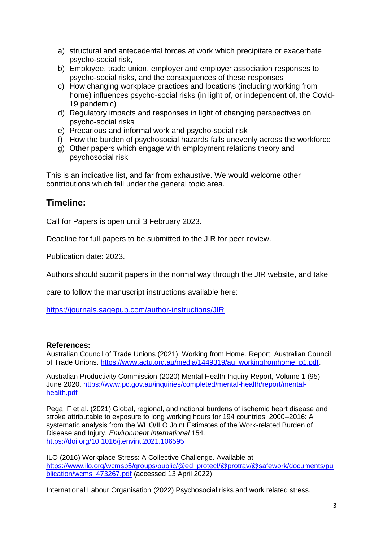- a) structural and antecedental forces at work which precipitate or exacerbate psycho-social risk,
- b) Employee, trade union, employer and employer association responses to psycho-social risks, and the consequences of these responses
- c) How changing workplace practices and locations (including working from home) influences psycho-social risks (in light of, or independent of, the Covid-19 pandemic)
- d) Regulatory impacts and responses in light of changing perspectives on psycho-social risks
- e) Precarious and informal work and psycho-social risk
- f) How the burden of psychosocial hazards falls unevenly across the workforce
- g) Other papers which engage with employment relations theory and psychosocial risk

This is an indicative list, and far from exhaustive. We would welcome other contributions which fall under the general topic area.

### **Timeline:**

Call for Papers is open until 3 February 2023.

Deadline for full papers to be submitted to the JIR for peer review.

Publication date: 2023.

Authors should submit papers in the normal way through the JIR website, and take

care to follow the manuscript instructions available here:

<https://journals.sagepub.com/author-instructions/JIR>

#### **References:**

Australian Council of Trade Unions (2021). Working from Home. Report, Australian Council of Trade Unions. [https://www.actu.org.au/media/1449319/au\\_workingfromhome\\_p1.pdf.](https://www.actu.org.au/media/1449319/au_workingfromhome_p1.pdf)

Australian Productivity Commission (2020) Mental Health Inquiry Report, Volume 1 (95), June 2020. [https://www.pc.gov.au/inquiries/completed/mental-health/report/mental](https://www.pc.gov.au/inquiries/completed/mental-health/report/mental-health.pdf)[health.pdf](https://www.pc.gov.au/inquiries/completed/mental-health/report/mental-health.pdf)

Pega, F et al. (2021) Global, regional, and national burdens of ischemic heart disease and stroke attributable to exposure to long working hours for 194 countries, 2000–2016: A systematic analysis from the WHO/ILO Joint Estimates of the Work-related Burden of Disease and Injury. *Environment International* 154. <https://doi.org/10.1016/j.envint.2021.106595>

ILO (2016) Workplace Stress: A Collective Challenge. Available at [https://www.ilo.org/wcmsp5/groups/public/@ed\\_protect/@protrav/@safework/documents/pu](https://www.ilo.org/wcmsp5/groups/public/@ed_protect/@protrav/@safework/documents/publication/wcms_473267.pdf) [blication/wcms\\_473267.pdf](https://www.ilo.org/wcmsp5/groups/public/@ed_protect/@protrav/@safework/documents/publication/wcms_473267.pdf) (accessed 13 April 2022).

International Labour Organisation (2022) Psychosocial risks and work related stress.